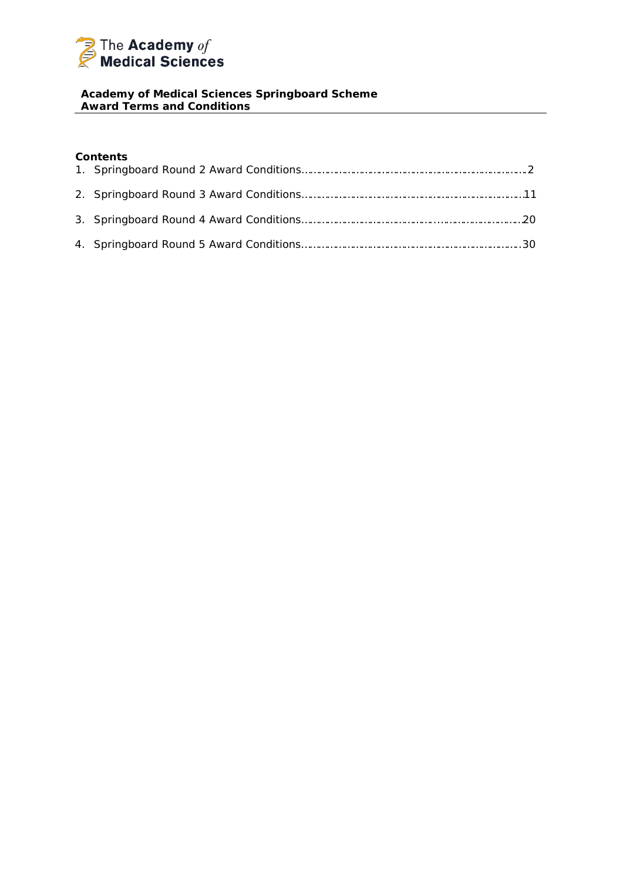

## **Academy of Medical Sciences Springboard Scheme Award Terms and Conditions**

## **Contents**